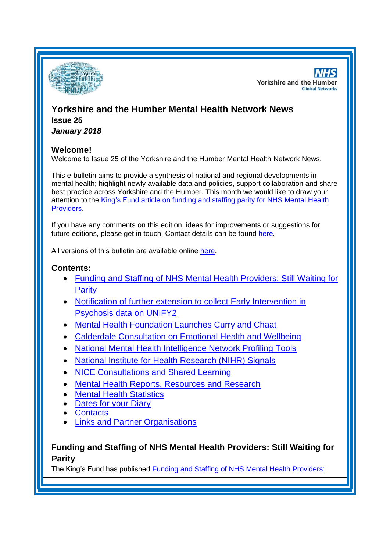

**NHS Yorkshire and the Humber Clinical Networks** 

# **Yorkshire and the Humber Mental Health Network News Issue 25**

*January 2018*

## **Welcome!**

Welcome to Issue 25 of the Yorkshire and the Humber Mental Health Network News.

This e-bulletin aims to provide a synthesis of national and regional developments in mental health; highlight newly available data and policies, support collaboration and share best practice across Yorkshire and the Humber. This month we would like to draw your attention to the [King's Fund article on funding and staffing parity for NHS Mental Health](#page-0-0)  [Providers.](#page-0-0)

If you have any comments on this edition, ideas for improvements or suggestions for future editions, please get in touch. Contact details can be found [here.](#page-4-0)

All versions of this bulletin are available online [here.](http://www.yhscn.nhs.uk/mental-health-clinic/mental-health-network/MH-documents-and-links.php)

# **Contents:**

- [Funding and Staffing of NHS Mental Health Providers: Still Waiting for](#page-0-0)  [Parity](#page-0-0)
- [Notification of further extension to collect Early Intervention in](#page-1-0)  [Psychosis data on UNIFY2](#page-1-0)
- [Mental Health Foundation Launches Curry and Chaat](#page-1-1)
- [Calderdale Consultation on Emotional Health and Wellbeing](#page-1-2)
- [National Mental Health Intelligence Network Profiling Tools](#page-1-3)
- [National Institute for Health Research \(NIHR\) Signals](#page-2-0)
- [NICE Consultations and Shared Learning](#page-2-0)
- [Mental Health Reports, Resources and Research](#page-0-1)
- [Mental Health Statistics](#page-3-0)
- [Dates for your Diary](#page-3-1)
- [Contacts](#page-4-0)
- [Links and Partner Organisations](#page-5-0)

# <span id="page-0-1"></span><span id="page-0-0"></span>**Funding and Staffing of NHS Mental Health Providers: Still Waiting for Parity**

The King's Fund has published [Funding and Staffing of NHS Mental Health Providers:](https://www.kingsfund.org.uk/publications/funding-staffing-mental-health-providers)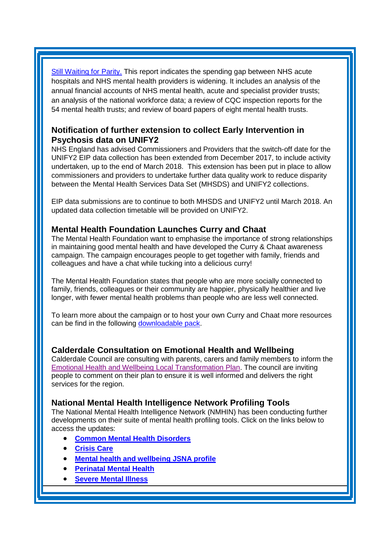[Still Waiting for Parity.](https://www.kingsfund.org.uk/publications/funding-staffing-mental-health-providers) This report indicates the spending gap between NHS acute hospitals and NHS mental health providers is widening. It includes an analysis of the annual financial accounts of NHS mental health, acute and specialist provider trusts; an analysis of the national workforce data; a review of CQC inspection reports for the 54 mental health trusts; and review of board papers of eight mental health trusts.

## <span id="page-1-0"></span>**Notification of further extension to collect Early Intervention in Psychosis data on UNIFY2**

NHS England has advised Commissioners and Providers that the switch-off date for the UNIFY2 EIP data collection has been extended from December 2017, to include activity undertaken, up to the end of March 2018. This extension has been put in place to allow commissioners and providers to undertake further data quality work to reduce disparity between the Mental Health Services Data Set (MHSDS) and UNIFY2 collections.

EIP data submissions are to continue to both MHSDS and UNIFY2 until March 2018. An updated data collection timetable will be provided on UNIFY2.

### <span id="page-1-1"></span>**Mental Health Foundation Launches Curry and Chaat**

The Mental Health Foundation want to emphasise the importance of strong relationships in maintaining good mental health and have developed the Curry & Chaat awareness campaign. The campaign encourages people to get together with family, friends and colleagues and have a chat while tucking into a delicious curry!

The Mental Health Foundation states that people who are more socially connected to family, friends, colleagues or their community are happier, physically healthier and live longer, with fewer mental health problems than people who are less well connected.

To learn more about the campaign or to host your own Curry and Chaat more resources can be find in the following [downloadable pack.](https://www.mentalhealth.org.uk/get-involved/curry-and-chaat/free-pack)

### <span id="page-1-2"></span>**Calderdale Consultation on Emotional Health and Wellbeing**

Calderdale Council are consulting with parents, carers and family members to inform the [Emotional Health and Wellbeing Local Transformation Plan.](https://www.calderdaleccg.nhs.uk/emotional-health-wellbeing-survey-for-parents-carers-and-family-members/) The council are inviting people to comment on their plan to ensure it is well informed and delivers the right services for the region.

#### <span id="page-1-3"></span>**National Mental Health Intelligence Network Profiling Tools**

The National Mental Health Intelligence Network (NMHIN) has been conducting further developments on their suite of mental health profiling tools. Click on the links below to access the updates:

- **[Common Mental Health Disorders](http://links.govdelivery.com/track?type=click&enid=ZWFzPTEmbXNpZD0mYXVpZD0mbWFpbGluZ2lkPTIwMTcxMjA1LjgxOTE2MDgxJm1lc3NhZ2VpZD1NREItUFJELUJVTC0yMDE3MTIwNS44MTkxNjA4MSZkYXRhYmFzZWlkPTEwMDEmc2VyaWFsPTE2OTcwMTE4JmVtYWlsaWQ9c2FyYWguYm91bEBuaHMubmV0JnVzZXJpZD1zYXJhaC5ib3VsQG5ocy5uZXQmdGFyZ2V0aWQ9JmZsPSZleHRyYT1NdWx0aXZhcmlhdGVJZD0mJiY=&&&104&&&https://fingertips.phe.org.uk/profile-group/mental-health/profile/common-mental-disorders)**
- **[Crisis Care](http://links.govdelivery.com/track?type=click&enid=ZWFzPTEmbXNpZD0mYXVpZD0mbWFpbGluZ2lkPTIwMTcxMjA1LjgxOTE2MDgxJm1lc3NhZ2VpZD1NREItUFJELUJVTC0yMDE3MTIwNS44MTkxNjA4MSZkYXRhYmFzZWlkPTEwMDEmc2VyaWFsPTE2OTcwMTE4JmVtYWlsaWQ9c2FyYWguYm91bEBuaHMubmV0JnVzZXJpZD1zYXJhaC5ib3VsQG5ocy5uZXQmdGFyZ2V0aWQ9JmZsPSZleHRyYT1NdWx0aXZhcmlhdGVJZD0mJiY=&&&105&&&https://fingertips.phe.org.uk/profile-group/mental-health/profile/crisis-care)**
- **[Mental health and wellbeing JSNA profile](http://links.govdelivery.com/track?type=click&enid=ZWFzPTEmbXNpZD0mYXVpZD0mbWFpbGluZ2lkPTIwMTcxMjA1LjgxOTE2MDgxJm1lc3NhZ2VpZD1NREItUFJELUJVTC0yMDE3MTIwNS44MTkxNjA4MSZkYXRhYmFzZWlkPTEwMDEmc2VyaWFsPTE2OTcwMTE4JmVtYWlsaWQ9c2FyYWguYm91bEBuaHMubmV0JnVzZXJpZD1zYXJhaC5ib3VsQG5ocy5uZXQmdGFyZ2V0aWQ9JmZsPSZleHRyYT1NdWx0aXZhcmlhdGVJZD0mJiY=&&&106&&&https://fingertips.phe.org.uk/profile-group/mental-health/profile/mh-jsna)**
- **[Perinatal Mental Health](http://links.govdelivery.com/track?type=click&enid=ZWFzPTEmbXNpZD0mYXVpZD0mbWFpbGluZ2lkPTIwMTcxMjA1LjgxOTE2MDgxJm1lc3NhZ2VpZD1NREItUFJELUJVTC0yMDE3MTIwNS44MTkxNjA4MSZkYXRhYmFzZWlkPTEwMDEmc2VyaWFsPTE2OTcwMTE4JmVtYWlsaWQ9c2FyYWguYm91bEBuaHMubmV0JnVzZXJpZD1zYXJhaC5ib3VsQG5ocy5uZXQmdGFyZ2V0aWQ9JmZsPSZleHRyYT1NdWx0aXZhcmlhdGVJZD0mJiY=&&&107&&&https://fingertips.phe.org.uk/profile-group/mental-health/profile/perinatal-mental-health)**
- **[Severe Mental Illness](http://links.govdelivery.com/track?type=click&enid=ZWFzPTEmbXNpZD0mYXVpZD0mbWFpbGluZ2lkPTIwMTcxMjA1LjgxOTE2MDgxJm1lc3NhZ2VpZD1NREItUFJELUJVTC0yMDE3MTIwNS44MTkxNjA4MSZkYXRhYmFzZWlkPTEwMDEmc2VyaWFsPTE2OTcwMTE4JmVtYWlsaWQ9c2FyYWguYm91bEBuaHMubmV0JnVzZXJpZD1zYXJhaC5ib3VsQG5ocy5uZXQmdGFyZ2V0aWQ9JmZsPSZleHRyYT1NdWx0aXZhcmlhdGVJZD0mJiY=&&&108&&&https://fingertips.phe.org.uk/profile-group/mental-health/profile/severe-mental-illness)**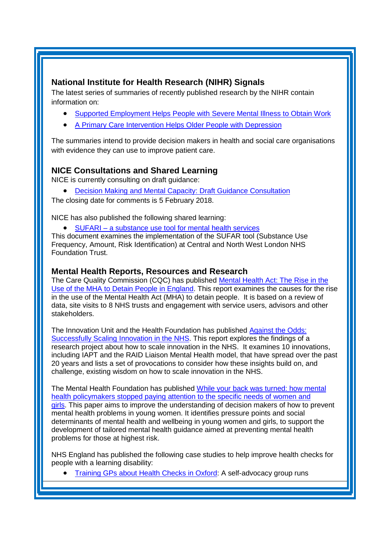# <span id="page-2-0"></span>**National Institute for Health Research (NIHR) Signals**

The latest series of summaries of recently published research by the NIHR contain information on:

- [Supported Employment Helps People with Severe Mental Illness to Obtain Work](https://discover.dc.nihr.ac.uk/portal/article/4000876/supported-employment-helps-people-with-severe-mental-illness-to-obtain-work)
- [A Primary Care Intervention Helps Older People with Depression](https://discover.dc.nihr.ac.uk/portal/article/4000896/a-primary-care-intervention-helps-older-people-with-depression)

The summaries intend to provide decision makers in health and social care organisations with evidence they can use to improve patient care.

# **NICE Consultations and Shared Learning**

NICE is currently consulting on draft guidance:

[Decision Making and Mental Capacity: Draft Guidance Consultation](https://www.nice.org.uk/guidance/indevelopment/gid-ng10009/consultation/html-content-3)

The closing date for comments is 5 February 2018.

NICE has also published the following shared learning:

SUFARI – [a substance use tool for mental health services](https://www.nice.org.uk/sharedlearning/sufari-a-substance-use-tool-for-mental-health-services)

This document examines the implementation of the SUFAR tool (Substance Use Frequency, Amount, Risk Identification) at Central and North West London NHS Foundation Trust.

### **Mental Health Reports, Resources and Research**

The Care Quality Commission (CQC) has published Mental Health Act: The Rise in the [Use of the MHA to Detain People in England.](http://www.cqc.org.uk/publications/themed-work/mental-health-act-rise-mha-detain-england) This report examines the causes for the rise in the use of the Mental Health Act (MHA) to detain people. It is based on a review of data, site visits to 8 NHS trusts and engagement with service users, advisors and other stakeholders.

The Innovation Unit and the Health Foundation has published [Against the Odds:](http://www.innovationunit.org/projects/against-the-odds/)  [Successfully Scaling Innovation in the NHS.](http://www.innovationunit.org/projects/against-the-odds/) This report explores the findings of a research project about how to scale innovation in the NHS. It examines 10 innovations, including IAPT and the RAID Liaison Mental Health model, that have spread over the past 20 years and lists a set of provocations to consider how these insights build on, and challenge, existing wisdom on how to scale innovation in the NHS.

The Mental Health Foundation has published [While your back was turned: how mental](https://www.mentalhealth.org.uk/publications/mental-health-young-women-and-girls)  health policymakers stopped paying attention to the specific needs of women and [girls.](https://www.mentalhealth.org.uk/publications/mental-health-young-women-and-girls) This paper aims to improve the understanding of decision makers of how to prevent mental health problems in young women. It identifies pressure points and social determinants of mental health and wellbeing in young women and girls, to support the development of tailored mental health guidance aimed at preventing mental health problems for those at highest risk.

NHS England has published the following case studies to help improve health checks for people with a learning disability:

• [Training GPs about Health Checks in Oxford:](https://www.england.nhs.uk/publication/training-gps-about-health-checks-in-oxford/) A self-advocacy group runs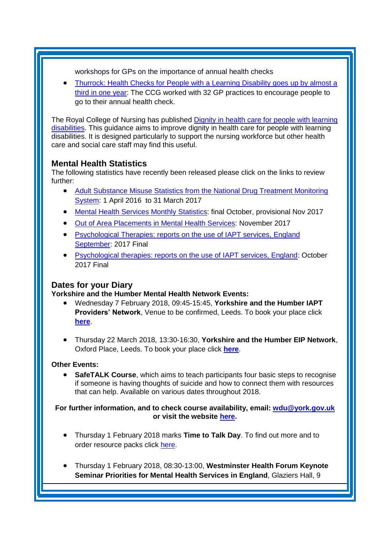workshops for GPs on the importance of annual health checks

 [Thurrock: Health Checks for People with a Learning Disability goes up by almost a](https://www.england.nhs.uk/publication/thurrock-health-checks-for-people-with-a-learning-disability-goes-up-by-almost-a-third-in-one-year/)  [third in one year:](https://www.england.nhs.uk/publication/thurrock-health-checks-for-people-with-a-learning-disability-goes-up-by-almost-a-third-in-one-year/) The CCG worked with 32 GP practices to encourage people to go to their annual health check.

The Royal College of Nursing has published [Dignity in health care for people with learning](https://www.rcn.org.uk/professional-development/publications/pub-006605)  [disabilities.](https://www.rcn.org.uk/professional-development/publications/pub-006605) This guidance aims to improve dignity in health care for people with learning disabilities. It is designed particularly to support the nursing workforce but other health care and social care staff may find this useful.

## <span id="page-3-0"></span>**Mental Health Statistics**

The following statistics have recently been released please click on the links to review further:

- <span id="page-3-1"></span> [Adult Substance Misuse Statistics from the National Drug Treatment Monitoring](https://www.gov.uk/government/statistics/substance-misuse-and-treatment-in-adults-statistics-2016-to-2017)  [System:](https://www.gov.uk/government/statistics/substance-misuse-and-treatment-in-adults-statistics-2016-to-2017) 1 April 2016 to 31 March 2017
- [Mental Health Services Monthly Statistics:](https://www.gov.uk/government/statistics/mental-health-services-monthly-statistics-final-oct-provisional-nov-2017) final October, provisional Nov 2017
- **[Out of Area Placements in Mental Health Services:](https://www.gov.uk/government/statistics/out-of-area-placements-in-mental-health-services-november-2017) November 2017**
- Psychological Therapies: reports on the use of IAPT services, England [September:](https://digital.nhs.uk/catalogue/PUB30179) 2017 Final
- [Psychological therapies: reports on the use of IAPT services, England:](https://www.gov.uk/government/statistics/psychological-therapies-reports-on-the-use-of-iapt-services-england-october-2017-final) October 2017 Final

## **Dates for your Diary**

**Yorkshire and the Humber Mental Health Network Events:**

- Wednesday 7 February 2018, 09:45-15:45, **Yorkshire and the Humber IAPT Providers' Network**, Venue to be confirmed, Leeds. To book your place click **[here](https://www.eventbrite.co.uk/e/yorkshire-and-the-humber-iapt-providers-network-tickets-39836845076)**.
- Thursday 22 March 2018, 13:30-16:30, **Yorkshire and the Humber EIP Network**, Oxford Place, Leeds. To book your place click **[here](https://www.eventbrite.co.uk/e/yorkshire-and-the-humber-eip-network-tickets-39657862735)**.

### **Other Events:**

 **SafeTALK Course**, which aims to teach participants four basic steps to recognise if someone is having thoughts of suicide and how to connect them with resources that can help. Available on various dates throughout 2018.

#### **For further information, and to check course availability, email: [wdu@york.gov.uk](mailto:wdu@york.gov.uk) or visit the website [here.](http://www.yorkworkforcedevelopment.org.uk/)**

- Thursday 1 February 2018 marks **Time to Talk Day**. To find out more and to order resource packs click [here.](https://www.time-to-change.org.uk/get-involved/time-talk-day-2018?_cldee=c2FyYWguYm91bEBuaHMubmV0&recipientid=contact-0ed3a36e03f0e61180f3c4346bad10a0-f880ded41d224fd9a0187dbf0d9139f1&esid=45909343-14d9-e711-8120-e0071b664191&urlid=58)
- Thursday 1 February 2018, 08:30-13:00, **Westminster Health Forum Keynote Seminar Priorities for Mental Health Services in England**, Glaziers Hall, 9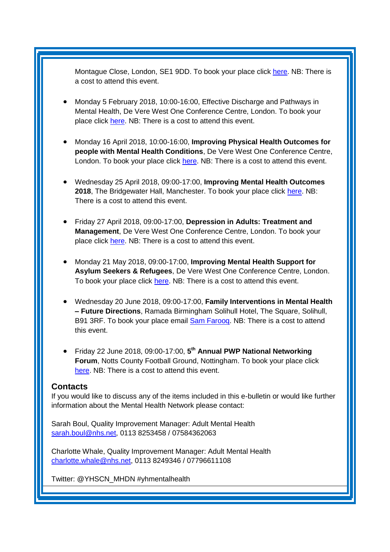Montague Close, London, SE1 9DD. To book your place click [here.](http://www.westminsterforumprojects.co.uk/book/mental-health-services-in-England-2018) NB: There is a cost to attend this event.

- Monday 5 February 2018, 10:00-16:00, Effective Discharge and Pathways in Mental Health, De Vere West One Conference Centre, London. To book your place click [here.](https://www.healthcareconferencesuk.co.uk/event/1335) NB: There is a cost to attend this event.
- Monday 16 April 2018, 10:00-16:00, **Improving Physical Health Outcomes for people with Mental Health Conditions**, De Vere West One Conference Centre, London. To book your place click [here.](https://www.healthcareconferencesuk.co.uk/event/1353/book) NB: There is a cost to attend this event.
- Wednesday 25 April 2018, 09:00-17:00, **Improving Mental Health Outcomes 2018**, The Bridgewater Hall, Manchester. To book your place click [here.](https://openforumevents.co.uk/events/2018/improving-mental-health-outcomes-integrating-coordinating-and-transforming-services/?utm_source=OFE+S3.1+MH18+WC+27.11.17+&utm_medium=email&utm_campaign=OFE+S3.1+MH18+WC+27.11.17) NB: There is a cost to attend this event.
- Friday 27 April 2018, 09:00-17:00, **Depression in Adults: Treatment and Management**, De Vere West One Conference Centre, London. To book your place click [here.](https://www.healthcareconferencesuk.co.uk/event/1347/book) NB: There is a cost to attend this event.
- Monday 21 May 2018, 09:00-17:00, **Improving Mental Health Support for Asylum Seekers & Refugees**, De Vere West One Conference Centre, London. To book your place click [here.](https://www.healthcareconferencesuk.co.uk/event/1209/book) NB: There is a cost to attend this event.
- Wednesday 20 June 2018, 09:00-17:00, **Family Interventions in Mental Health – Future Directions**, Ramada Birmingham Solihull Hotel, The Square, Solihull, B91 3RF. To book your place email **Sam Farooq.** NB: There is a cost to attend this event.
- Friday 22 June 2018, 09:00-17:00, **5 th Annual PWP National Networking Forum**, Notts County Football Ground, Nottingham. To book your place click [here.](http://www.iapt-nnf.co.uk/Home/ViewEvent/87?utm_source=SBK%20Healthcare&utm_medium=email&utm_campaign=8995560_1856PT%201st%20email&dm_i=1SB0,5CT0O,MCTTTA,KP5GK,1) NB: There is a cost to attend this event.

#### <span id="page-4-0"></span>**Contacts**

If you would like to discuss any of the items included in this e-bulletin or would like further information about the Mental Health Network please contact:

Sarah Boul, Quality Improvement Manager: Adult Mental Health [sarah.boul@nhs.net,](mailto:sarah.boul@nhs.net) 0113 8253458 / 07584362063

Charlotte Whale, Quality Improvement Manager: Adult Mental Health [charlotte.whale@nhs.net,](mailto:charlotte.whale@nhs.net) 0113 8249346 / 07796611108

Twitter: @YHSCN\_MHDN #yhmentalhealth